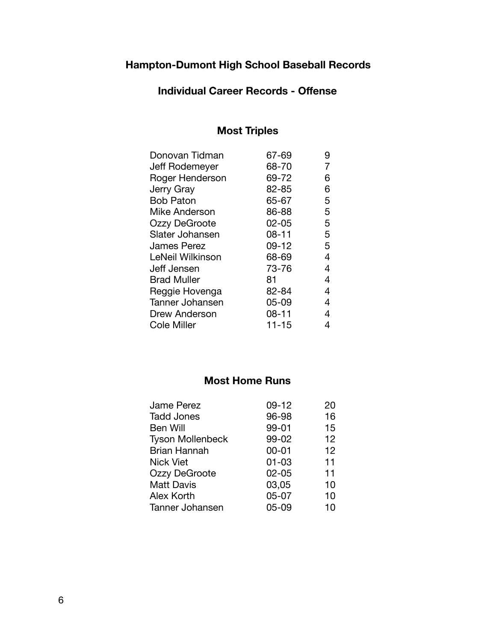# **Hampton-Dumont High School Baseball Records**

#### **Individual Career Records - Offense**

## **Most Triples**

| Donovan Tidman         | 67-69     | 9 |
|------------------------|-----------|---|
| Jeff Rodemeyer         | 68-70     | 7 |
| Roger Henderson        | 69-72     | 6 |
| Jerry Gray             | 82-85     | 6 |
| <b>Bob Paton</b>       | 65-67     | 5 |
| Mike Anderson          | 86-88     | 5 |
| <b>Ozzy DeGroote</b>   | $02 - 05$ | 5 |
| Slater Johansen        | $08 - 11$ | 5 |
| <b>James Perez</b>     | $09 - 12$ | 5 |
| LeNeil Wilkinson       | 68-69     | 4 |
| Jeff Jensen            | 73-76     | 4 |
| <b>Brad Muller</b>     | 81        | 4 |
| Reggie Hovenga         | 82-84     | 4 |
| <b>Tanner Johansen</b> | $05 - 09$ | 4 |
| Drew Anderson          | $08 - 11$ | 4 |
| Cole Miller            | $11 - 15$ | 4 |

### **Most Home Runs**

| <b>Jame Perez</b>       | $09 - 12$ | 20 |
|-------------------------|-----------|----|
| <b>Tadd Jones</b>       | 96-98     | 16 |
| Ben Will                | 99-01     | 15 |
| <b>Tyson Mollenbeck</b> | 99-02     | 12 |
| <b>Brian Hannah</b>     | $00 - 01$ | 12 |
| <b>Nick Viet</b>        | $01 - 03$ | 11 |
| Ozzy DeGroote           | $02 - 05$ | 11 |
| <b>Matt Davis</b>       | 03,05     | 10 |
| Alex Korth              | $05 - 07$ | 10 |
| Tanner Johansen         | $05 - 09$ | 10 |
|                         |           |    |